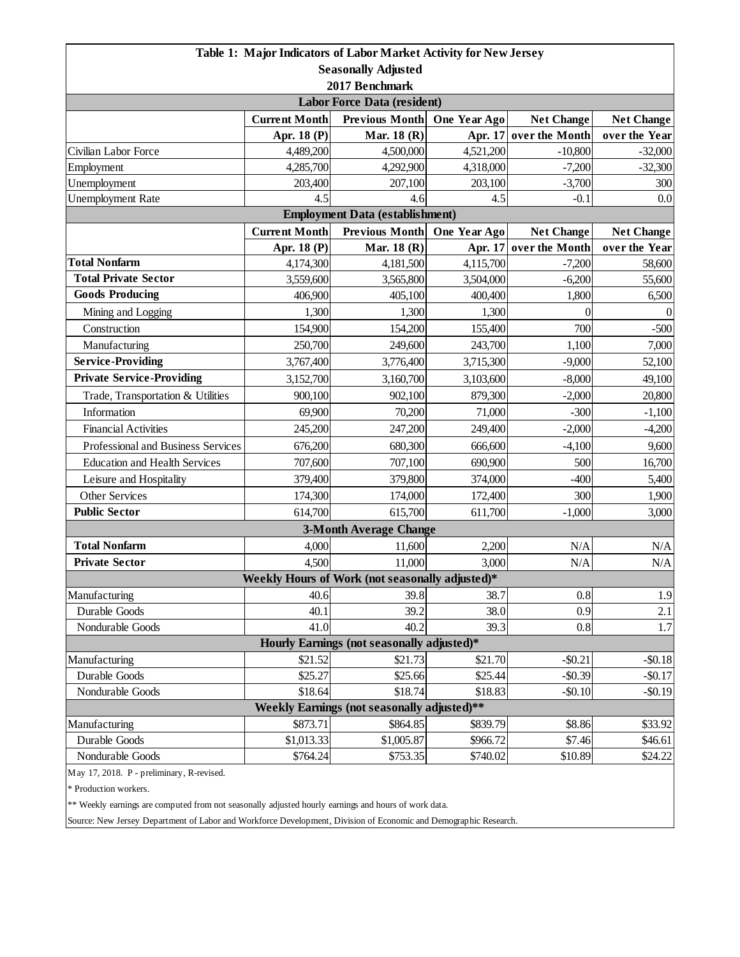|                                           |                      | Table 1: Major Indicators of Labor Market Activity for New Jersey |              |                   |                   |  |
|-------------------------------------------|----------------------|-------------------------------------------------------------------|--------------|-------------------|-------------------|--|
|                                           |                      | <b>Seasonally Adjusted</b>                                        |              |                   |                   |  |
|                                           |                      | 2017 Benchmark                                                    |              |                   |                   |  |
|                                           |                      | Labor Force Data (resident)                                       |              |                   |                   |  |
|                                           | <b>Current Month</b> | <b>Previous Month</b>                                             | One Year Ago | <b>Net Change</b> | <b>Net Change</b> |  |
|                                           | Apr. 18 (P)          | Mar. 18 (R)                                                       | Apr. 17      | over the Month    | over the Year     |  |
| Civilian Labor Force                      | 4,489,200            | 4,500,000                                                         | 4,521,200    | $-10,800$         | $-32,000$         |  |
| Employment                                | 4,285,700            | 4,292,900                                                         | 4,318,000    | $-7,200$          | $-32,300$         |  |
| Unemployment                              | 203,400              | 207,100                                                           | 203,100      | $-3,700$          | 300               |  |
| <b>Unemployment Rate</b>                  | 4.5                  | 4.6                                                               | 4.5          | $-0.1$            | 0.0               |  |
| <b>Employment Data (establishment)</b>    |                      |                                                                   |              |                   |                   |  |
|                                           | <b>Current Month</b> | <b>Previous Month</b>                                             | One Year Ago | <b>Net Change</b> | <b>Net Change</b> |  |
|                                           | Apr. 18 (P)          | Mar. 18 (R)                                                       | Apr. 17      | over the Month    | over the Year     |  |
| <b>Total Nonfarm</b>                      | 4,174,300            | 4,181,500                                                         | 4,115,700    | $-7,200$          | 58,600            |  |
| <b>Total Private Sector</b>               | 3,559,600            | 3,565,800                                                         | 3,504,000    | $-6,200$          | 55,600            |  |
| <b>Goods Producing</b>                    | 406,900              | 405,100                                                           | 400,400      | 1,800             | 6,500             |  |
| Mining and Logging                        | 1,300                | 1,300                                                             | 1,300        | $\theta$          | $\Omega$          |  |
| Construction                              | 154,900              | 154,200                                                           | 155,400      | 700               | $-500$            |  |
| Manufacturing                             | 250,700              | 249,600                                                           | 243,700      | 1,100             | 7,000             |  |
| <b>Service-Providing</b>                  | 3,767,400            | 3,776,400                                                         | 3,715,300    | $-9,000$          | 52,100            |  |
| <b>Private Service-Providing</b>          | 3,152,700            | 3,160,700                                                         | 3,103,600    | $-8,000$          | 49,100            |  |
| Trade, Transportation & Utilities         | 900,100              | 902,100                                                           | 879,300      | $-2,000$          | 20,800            |  |
| Information                               | 69,900               | 70,200                                                            | 71,000       | $-300$            | $-1,100$          |  |
| <b>Financial Activities</b>               | 245,200              | 247,200                                                           | 249,400      | $-2,000$          | $-4,200$          |  |
| Professional and Business Services        | 676,200              | 680,300                                                           | 666,600      | $-4,100$          | 9,600             |  |
| <b>Education and Health Services</b>      | 707,600              | 707,100                                                           | 690,900      | 500               | 16,700            |  |
| Leisure and Hospitality                   | 379,400              | 379,800                                                           | 374,000      | $-400$            | 5,400             |  |
| Other Services                            | 174,300              | 174,000                                                           | 172,400      | 300               | 1,900             |  |
| <b>Public Sector</b>                      | 614,700              | 615,700                                                           | 611,700      | $-1,000$          | 3,000             |  |
|                                           |                      | <b>3-Month Average Change</b>                                     |              |                   |                   |  |
| <b>Total Nonfarm</b>                      | 4,000                | 11,600                                                            | 2,200        | N/A               | N/A               |  |
| <b>Private Sector</b>                     | 4,500                | 11,000                                                            | 3,000        | N/A               | N/A               |  |
|                                           |                      | Weekly Hours of Work (not seasonally adjusted)*                   |              |                   |                   |  |
| Manufacturing                             | 40.6                 | 39.8                                                              | 38.7         | 0.8               | 1.9               |  |
| Durable Goods                             | 40.1                 | 39.2                                                              | 38.0         | 0.9               | 2.1               |  |
| Nondurable Goods                          | 41.0                 | 40.2                                                              | 39.3         | 0.8               | 1.7               |  |
|                                           |                      | Hourly Earnings (not seasonally adjusted)*                        |              |                   |                   |  |
| Manufacturing                             | \$21.52              | \$21.73                                                           | \$21.70      | $-$ \$0.21        | $-$0.18$          |  |
| Durable Goods                             | \$25.27              | \$25.66                                                           | \$25.44      | $-$0.39$          | $-$0.17$          |  |
| Nondurable Goods                          | \$18.64              | \$18.74                                                           | \$18.83      | $-$0.10$          | $-$ \$0.19        |  |
|                                           |                      | Weekly Earnings (not seasonally adjusted)**                       |              |                   |                   |  |
| Manufacturing                             | \$873.71             | \$864.85                                                          | \$839.79     | \$8.86            | \$33.92           |  |
| Durable Goods                             | \$1,013.33           | \$1,005.87                                                        | \$966.72     | \$7.46            | \$46.61           |  |
| Nondurable Goods                          | \$764.24             | \$753.35                                                          | \$740.02     | \$10.89           | \$24.22           |  |
| May 17, 2018. P - preliminary, R-revised. |                      |                                                                   |              |                   |                   |  |

\* Production workers.

\*\* Weekly earnings are computed from not seasonally adjusted hourly earnings and hours of work data.

Source: New Jersey Department of Labor and Workforce Development, Division of Economic and Demographic Research.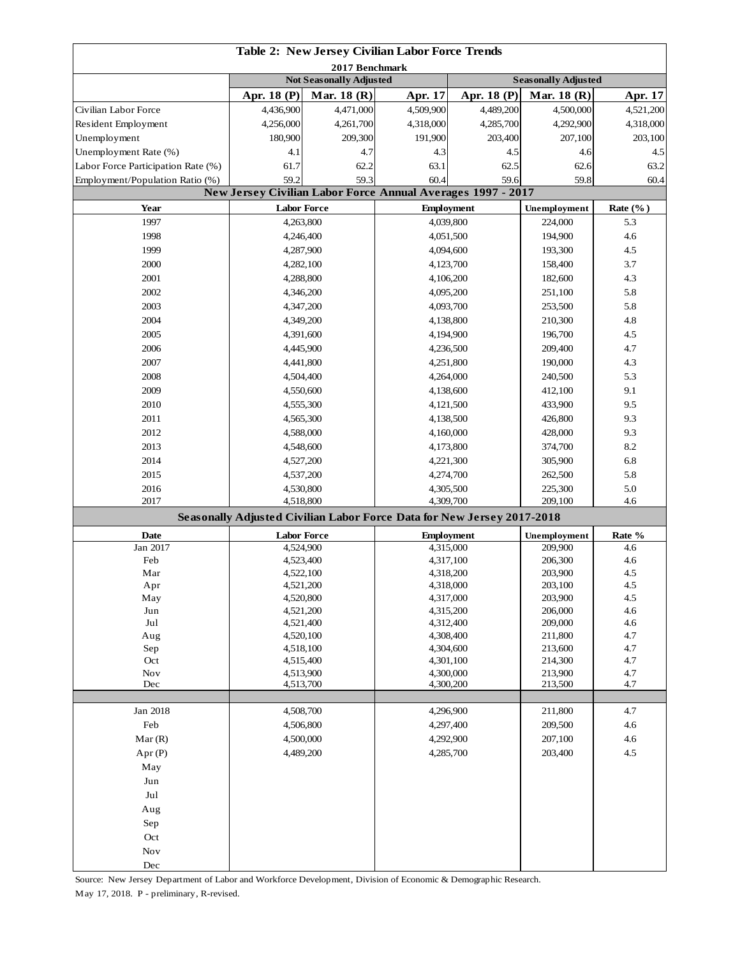|                                    |                                                         |                                | Table 2: New Jersey Civilian Labor Force Trends                        |             |                                           |                             |
|------------------------------------|---------------------------------------------------------|--------------------------------|------------------------------------------------------------------------|-------------|-------------------------------------------|-----------------------------|
|                                    | 2017 Benchmark                                          |                                |                                                                        |             |                                           |                             |
|                                    |                                                         | <b>Not Seasonally Adjusted</b> |                                                                        | Apr. 18 (P) | <b>Seasonally Adjusted</b><br>Mar. 18 (R) |                             |
| Civilian Labor Force               | Apr. 18 (P)<br>4,436,900                                | Mar. 18 $(R)$<br>4,471,000     | Apr. 17<br>4,509,900                                                   | 4,489,200   | 4,500,000                                 | <b>Apr. 17</b><br>4,521,200 |
| Resident Employment                | 4,256,000                                               | 4,261,700                      | 4,318,000                                                              | 4,285,700   | 4,292,900                                 | 4,318,000                   |
| Unemployment                       | 180,900                                                 | 209,300                        | 191,900                                                                | 203,400     | 207,100                                   | 203,100                     |
| Unemployment Rate (%)              | 4.1                                                     | 4.7                            | 4.3                                                                    | 4.5         | 4.6                                       | 4.5                         |
| Labor Force Participation Rate (%) | 61.7                                                    | 62.2                           | 63.1                                                                   | 62.5        | 62.6                                      | 63.2                        |
|                                    | 59.2                                                    | 59.3                           | 60.4                                                                   | 59.6        | 59.8                                      | 60.4                        |
| Employment/Population Ratio (%)    |                                                         |                                | <b>New Jersey Civilian Labor Force Annual Averages 1997 - 2017</b>     |             |                                           |                             |
| Year                               | <b>Labor Force</b>                                      |                                | <b>Employment</b>                                                      |             | Unemployment                              | Rate $(\%$ )                |
| 1997                               | 4,263,800                                               |                                | 4,039,800                                                              |             | 224,000                                   | 5.3                         |
| 1998                               | 4,246,400                                               |                                | 4,051,500                                                              |             | 194,900                                   | 4.6                         |
| 1999                               | 4,287,900                                               |                                | 4,094,600                                                              |             | 193,300                                   | 4.5                         |
| 2000                               |                                                         | 4,282,100                      | 4,123,700                                                              |             | 158,400                                   | 3.7                         |
| 2001                               | 4,288,800                                               |                                | 4,106,200                                                              |             | 182,600                                   | 4.3                         |
| 2002                               | 4,346,200                                               |                                | 4,095,200                                                              |             | 251,100                                   | 5.8                         |
| 2003                               | 4,347,200                                               |                                | 4,093,700                                                              |             | 253,500                                   | 5.8                         |
| 2004                               | 4,349,200                                               |                                | 4,138,800                                                              |             | 210,300                                   | 4.8                         |
| 2005                               | 4,391,600                                               |                                | 4,194,900                                                              |             | 196,700                                   | 4.5                         |
| 2006                               | 4,445,900                                               |                                | 4,236,500                                                              |             | 209,400                                   | 4.7                         |
| 2007                               |                                                         | 4,441,800                      |                                                                        |             | 190,000                                   | 4.3                         |
| 2008                               | 4,504,400                                               |                                | 4,251,800                                                              |             | 240,500                                   | 5.3                         |
| 2009                               | 4,550,600                                               |                                | 4,264,000<br>4,138,600                                                 |             | 412,100                                   | 9.1                         |
| 2010                               |                                                         |                                | 4,121,500                                                              |             |                                           | 9.5                         |
| 2011                               |                                                         | 4,555,300                      |                                                                        |             | 433,900                                   | 9.3                         |
| 2012                               | 4,588,000                                               | 4,565,300                      | 4,138,500                                                              |             | 426,800<br>428,000                        | 9.3                         |
| 2013                               |                                                         |                                | 4,160,000                                                              |             |                                           | 8.2                         |
|                                    | 4,548,600                                               |                                | 4,173,800                                                              |             | 374,700                                   |                             |
| 2014                               | 4,527,200                                               |                                | 4,221,300                                                              |             | 305,900                                   | 6.8                         |
| 2015<br>2016                       | 4,537,200                                               |                                | 4,274,700                                                              |             | 262,500                                   | 5.8                         |
| 2017                               | 4,530,800<br>4,518,800                                  |                                | 4,305,500<br>4,309,700                                                 |             | 225,300<br>209,100                        | 5.0<br>4.6                  |
|                                    |                                                         |                                | Seasonally Adjusted Civilian Labor Force Data for New Jersey 2017-2018 |             |                                           |                             |
| Date                               | <b>Labor Force</b><br><b>Employment</b><br>Unemployment |                                |                                                                        |             |                                           | Rate %                      |
| Jan 2017                           | 4,524,900                                               |                                | 4,315,000                                                              |             | 209,900                                   | 4.6                         |
| Feb                                | 4,523,400                                               |                                | 4,317,100                                                              |             | 206,300                                   | 4.6                         |
| Mar                                | 4,522,100                                               |                                | 4,318,200                                                              |             | 203,900                                   | 4.5                         |
| Apr                                |                                                         | 4,521,200                      | 4,318,000                                                              |             | 203,100                                   | 4.5                         |
| May                                | 4,520,800                                               |                                | 4,317,000                                                              |             | 203,900                                   | 4.5                         |
| Jun                                | 4,521,200                                               |                                | 4,315,200                                                              |             | 206,000                                   | 4.6                         |
| Jul                                | 4,521,400                                               |                                | 4,312,400                                                              |             | 209,000                                   | 4.6<br>4.7                  |
| Aug<br>Sep                         | 4,520,100<br>4,518,100                                  |                                | 4,308,400                                                              |             | 211,800<br>213,600                        | 4.7                         |
| Oct                                |                                                         | 4,515,400                      | 4,304,600<br>4,301,100                                                 |             | 214,300                                   | 4.7                         |
| <b>Nov</b>                         | 4,513,900                                               |                                | 4,300,000                                                              |             | 213,900                                   | 4.7                         |
| Dec                                | 4,513,700                                               |                                | 4,300,200                                                              |             | 213,500                                   | 4.7                         |
|                                    |                                                         |                                |                                                                        |             |                                           |                             |
| Jan 2018                           | 4,508,700                                               |                                | 4,296,900                                                              |             | 211,800                                   | 4.7                         |
| Feb                                | 4,506,800                                               |                                | 4,297,400                                                              |             | 209,500                                   | 4.6                         |
| Mar(R)                             | 4,500,000                                               |                                | 4,292,900                                                              |             | 207,100                                   | 4.6                         |
| Apr(P)                             | 4,489,200                                               |                                | 4,285,700                                                              |             | 203,400                                   | 4.5                         |
| May                                |                                                         |                                |                                                                        |             |                                           |                             |
| Jun                                |                                                         |                                |                                                                        |             |                                           |                             |
| Jul                                |                                                         |                                |                                                                        |             |                                           |                             |
| Aug                                |                                                         |                                |                                                                        |             |                                           |                             |
| Sep                                |                                                         |                                |                                                                        |             |                                           |                             |
| Oct                                |                                                         |                                |                                                                        |             |                                           |                             |
| Nov                                |                                                         |                                |                                                                        |             |                                           |                             |
| $\rm Dec$                          |                                                         |                                |                                                                        |             |                                           |                             |

Source: New Jersey Department of Labor and Workforce Development, Division of Economic & Demographic Research. May 17, 2018. P - preliminary, R-revised.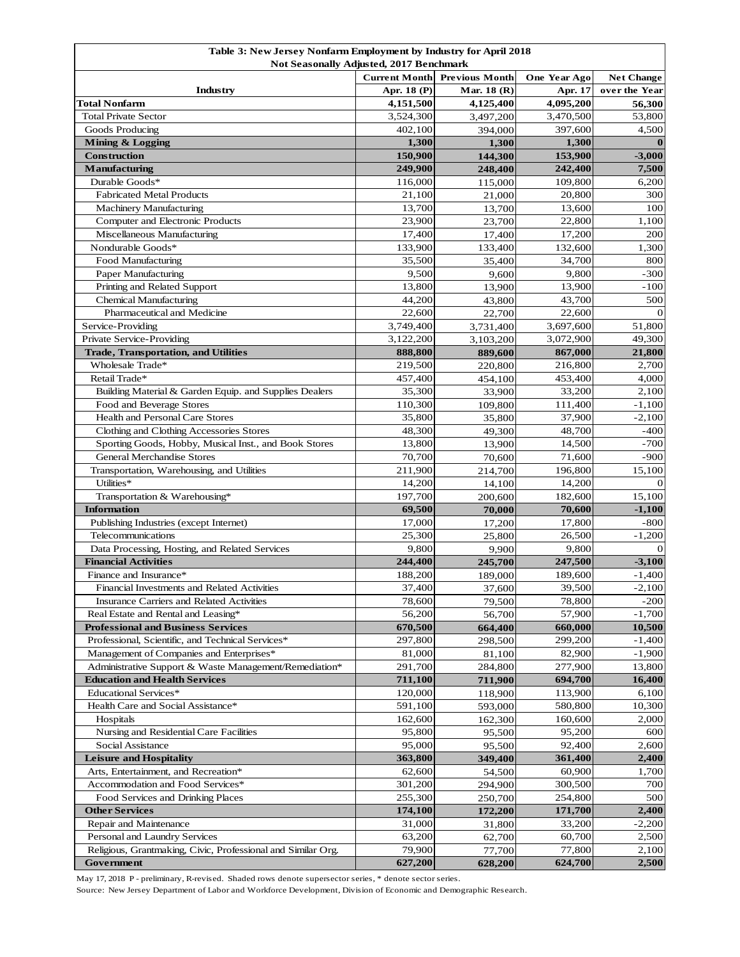| Table 3: New Jersey Nonfarm Employment by Industry for April 2018<br><b>Not Seasonally Adjusted, 2017 Benchmark</b> |                      |                       |              |                   |
|---------------------------------------------------------------------------------------------------------------------|----------------------|-----------------------|--------------|-------------------|
|                                                                                                                     | <b>Current Month</b> | <b>Previous Month</b> | One Year Ago | <b>Net Change</b> |
| Industry                                                                                                            | Apr. 18 (P)          | Mar. 18 (R)           | Apr. 17      | over the Year     |
| <b>Total Nonfarm</b>                                                                                                | 4,151,500            | 4,125,400             | 4,095,200    | 56,300            |
| <b>Total Private Sector</b>                                                                                         | 3,524,300            | 3,497,200             | 3,470,500    | 53,800            |
| Goods Producing                                                                                                     | 402,100              | 394,000               | 397,600      | 4,500             |
| Mining & Logging                                                                                                    | 1,300                | 1,300                 | 1,300        | $\bf{0}$          |
| <b>Construction</b>                                                                                                 | 150,900              | 144,300               | 153,900      | $-3,000$          |
| <b>Manufacturing</b>                                                                                                | 249,900              | 248,400               | 242,400      | 7,500             |
| Durable Goods*                                                                                                      | 116,000              | 115,000               | 109,800      | 6,200             |
| <b>Fabricated Metal Products</b>                                                                                    | 21,100               | 21,000                | 20,800       | 300               |
| <b>Machinery Manufacturing</b>                                                                                      | 13,700               | 13,700                | 13,600       | 100               |
| Computer and Electronic Products                                                                                    | 23,900               | 23,700                | 22,800       | 1,100             |
| Miscellaneous Manufacturing                                                                                         | 17,400               | 17,400                | 17,200       | 200               |
| Nondurable Goods*                                                                                                   | 133,900              | 133,400               | 132,600      | 1,300             |
| Food Manufacturing                                                                                                  | 35,500               | 35,400                | 34,700       | 800               |
| Paper Manufacturing                                                                                                 | 9,500                | 9,600                 | 9,800        | $-300$            |
| Printing and Related Support                                                                                        | 13,800               | 13,900                | 13,900       | $-100$            |
| Chemical Manufacturing                                                                                              | 44,200               | 43,800                | 43,700       | 500               |
| Pharmaceutical and Medicine                                                                                         | 22,600               | 22,700                | 22,600       | $\Omega$          |
| Service-Providing                                                                                                   | 3,749,400            | 3,731,400             | 3,697,600    | 51,800            |
| Private Service-Providing                                                                                           | 3,122,200            | 3,103,200             | 3,072,900    | 49,300            |
| <b>Trade, Transportation, and Utilities</b>                                                                         | 888,800              | 889,600               | 867,000      | 21,800            |
| Wholesale Trade*                                                                                                    | 219,500              | 220,800               | 216,800      | 2,700             |
| Retail Trade*                                                                                                       | 457,400              | 454,100               | 453,400      | 4,000             |
| Building Material & Garden Equip. and Supplies Dealers                                                              | 35,300               | 33,900                | 33,200       | 2,100             |
| Food and Beverage Stores                                                                                            | 110,300              | 109,800               | 111,400      | $-1,100$          |
| Health and Personal Care Stores                                                                                     | 35,800               | 35,800                | 37,900       | $-2,100$          |
| Clothing and Clothing Accessories Stores                                                                            | 48,300               | 49,300                | 48,700       | $-400$            |
| Sporting Goods, Hobby, Musical Inst., and Book Stores                                                               | 13,800               | 13,900                | 14,500       | $-700$            |
| <b>General Merchandise Stores</b>                                                                                   | 70,700               | 70,600                | 71,600       | $-900$            |
| Transportation, Warehousing, and Utilities                                                                          | 211,900              | 214,700               | 196,800      | 15,100            |
| Utilities*                                                                                                          | 14,200               | 14,100                | 14,200       | $\Omega$          |
| Transportation & Warehousing*                                                                                       | 197,700              | 200,600               | 182,600      | 15,100            |
| <b>Information</b>                                                                                                  | 69,500               | 70,000                | 70,600       | $-1,100$          |
| Publishing Industries (except Internet)                                                                             | 17,000               | 17,200                | 17,800       | $-800$            |
| Telecommunications                                                                                                  | 25,300               | 25,800                | 26,500       | $-1,200$          |
| Data Processing, Hosting, and Related Services                                                                      | 9,800                | 9,900                 | 9,800        | $\mathbf{O}$      |
| <b>Financial Activities</b>                                                                                         | 244,400              | 245,700               | 247,500      | $-3,100$          |
| Finance and Insurance*                                                                                              | 188,200              | 189,000               | 189,600      | $-1,400$          |
| Financial Investments and Related Activities                                                                        | 37,400               | 37,600                | 39,500       | $-2,100$          |
| Insurance Carriers and Related Activities                                                                           | 78,600               | 79,500                | 78,800       | $-200$            |
| Real Estate and Rental and Leasing*                                                                                 | 56,200               | 56,700                | 57,900       | $-1,700$          |
| <b>Professional and Business Services</b>                                                                           | 670,500              | 664,400               | 660,000      | 10,500            |
| Professional, Scientific, and Technical Services*                                                                   | 297,800              | 298,500               | 299,200      | $-1,400$          |
| Management of Companies and Enterprises*                                                                            | 81,000               | 81,100                | 82,900       | $-1,900$          |
| Administrative Support & Waste Management/Remediation*                                                              | 291,700              | 284,800               | 277,900      | 13,800            |
| <b>Education and Health Services</b>                                                                                | 711,100              | 711,900               | 694,700      | 16,400            |
| Educational Services*                                                                                               | 120,000              | 118,900               | 113,900      | 6,100             |
| Health Care and Social Assistance*                                                                                  | 591,100              | 593,000               | 580,800      | 10,300            |
| Hospitals                                                                                                           | 162,600              | 162,300               | 160,600      | 2,000             |
| Nursing and Residential Care Facilities                                                                             | 95,800               | 95,500                | 95,200       | 600               |
| Social Assistance                                                                                                   | 95,000               | 95,500                | 92,400       | 2,600             |
| <b>Leisure and Hospitality</b>                                                                                      | 363,800              | 349,400               | 361,400      | 2,400             |
| Arts, Entertainment, and Recreation*                                                                                | 62,600               | 54,500                | 60,900       | 1,700             |
| Accommodation and Food Services*                                                                                    | 301,200              | 294,900               | 300,500      | 700               |
| Food Services and Drinking Places                                                                                   | 255,300              | 250,700               | 254,800      | 500               |
| <b>Other Services</b>                                                                                               | 174,100              | 172,200               | 171,700      | 2,400             |
| Repair and Maintenance                                                                                              | 31,000               | 31,800                | 33,200       | $-2,200$          |
| Personal and Laundry Services                                                                                       | 63,200               | 62,700                | 60,700       | 2,500             |
| Religious, Grantmaking, Civic, Professional and Similar Org.                                                        | 79,900               | 77,700                | 77,800       | 2,100             |
| Government                                                                                                          | 627,200              | 628,200               | 624,700      | 2,500             |

May 17, 2018 P - preliminary, R-revised. Shaded rows denote supersector series, \* denote sector series.

Source: New Jersey Department of Labor and Workforce Development, Division of Economic and Demographic Research.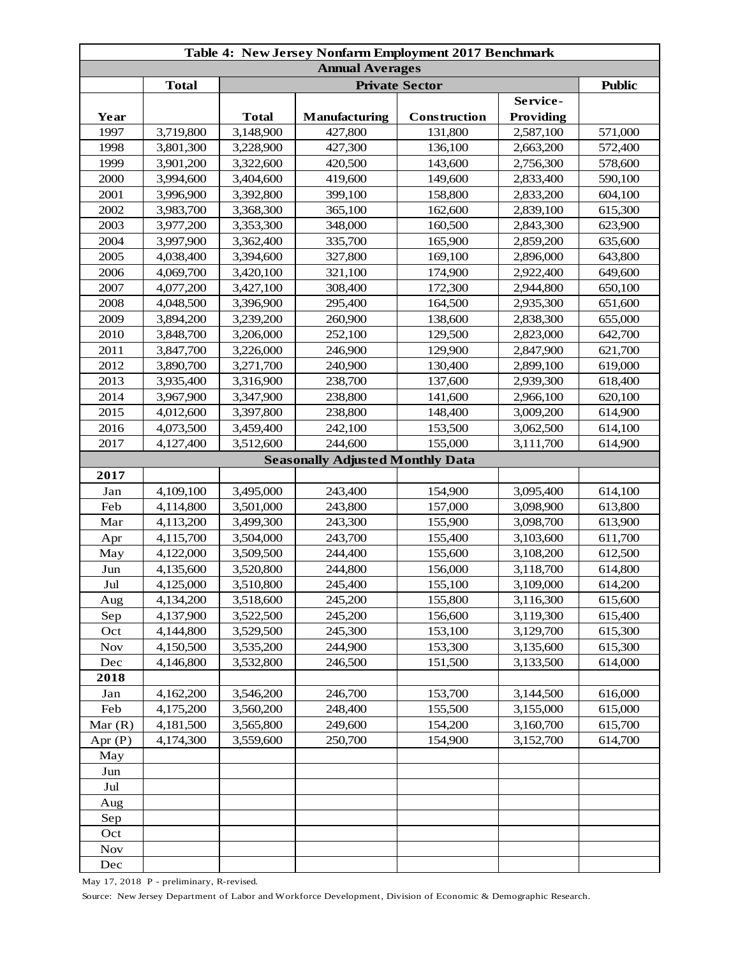| <b>Annual Averages</b><br><b>Total</b><br><b>Private Sector</b><br>Service-<br><b>Total</b><br>Manufacturing<br><b>Providing</b><br>Year<br>Construction<br>1997<br>3,719,800<br>3,148,900<br>427,800<br>131,800<br>2,587,100 | <b>Public</b><br>571,000<br>572,400<br>578,600 |
|-------------------------------------------------------------------------------------------------------------------------------------------------------------------------------------------------------------------------------|------------------------------------------------|
|                                                                                                                                                                                                                               |                                                |
|                                                                                                                                                                                                                               |                                                |
|                                                                                                                                                                                                                               |                                                |
|                                                                                                                                                                                                                               |                                                |
|                                                                                                                                                                                                                               |                                                |
| 1998<br>3,801,300<br>3,228,900<br>427,300<br>136,100<br>2,663,200                                                                                                                                                             |                                                |
| 1999<br>3,901,200<br>3,322,600<br>143,600<br>420,500<br>2,756,300                                                                                                                                                             |                                                |
| 3,994,600<br>3,404,600<br>419,600<br>149,600<br>2000<br>2,833,400                                                                                                                                                             | 590,100                                        |
| 2001<br>3,996,900<br>3,392,800<br>399,100<br>158,800<br>2,833,200                                                                                                                                                             | 604,100                                        |
| 2002<br>162,600<br>3,983,700<br>3,368,300<br>365,100<br>2,839,100                                                                                                                                                             | 615,300                                        |
| 2003<br>3,977,200<br>3,353,300<br>348,000<br>160,500<br>2,843,300                                                                                                                                                             | 623,900                                        |
| 2004<br>335,700<br>3,997,900<br>3,362,400<br>165,900<br>2,859,200                                                                                                                                                             | 635,600                                        |
| 2005<br>3,394,600<br>327,800<br>169,100<br>2,896,000<br>4,038,400                                                                                                                                                             | 643,800                                        |
| 2006<br>321,100<br>174,900<br>2,922,400<br>4,069,700<br>3,420,100                                                                                                                                                             | 649,600                                        |
| 172,300<br>2007<br>4,077,200<br>3,427,100<br>308,400<br>2,944,800                                                                                                                                                             | 650,100                                        |
| 2008<br>4,048,500<br>3,396,900<br>295,400<br>164,500<br>2,935,300                                                                                                                                                             | 651,600                                        |
| 2009<br>260,900<br>138,600<br>3,894,200<br>3,239,200<br>2,838,300                                                                                                                                                             | 655,000                                        |
| 2010<br>3,848,700<br>252,100<br>129,500<br>3,206,000<br>2,823,000                                                                                                                                                             | 642,700                                        |
| 2011<br>3,847,700<br>3,226,000<br>129,900<br>246,900<br>2,847,900                                                                                                                                                             | 621,700                                        |
| 2012<br>3,271,700<br>240,900<br>130,400<br>2,899,100<br>3,890,700                                                                                                                                                             | 619,000                                        |
| 2013<br>238,700<br>137,600<br>3,935,400<br>3,316,900<br>2,939,300                                                                                                                                                             | 618,400                                        |
| 2014<br>3,967,900<br>238,800<br>141,600<br>2,966,100<br>3,347,900                                                                                                                                                             | 620,100                                        |
| 2015<br>4,012,600<br>3,397,800<br>238,800<br>148,400<br>3,009,200                                                                                                                                                             | 614,900                                        |
| 2016<br>4,073,500<br>3,459,400<br>242,100<br>153,500<br>3,062,500                                                                                                                                                             | 614,100                                        |
| 3,512,600<br>244,600<br>2017<br>4,127,400<br>155,000<br>3,111,700                                                                                                                                                             | 614,900                                        |
| <b>Seasonally Adjusted Monthly Data</b>                                                                                                                                                                                       |                                                |
| 2017                                                                                                                                                                                                                          |                                                |
| 4,109,100<br>3,495,000<br>243,400<br>154,900<br>3,095,400<br>Jan                                                                                                                                                              | 614,100                                        |
| Feb<br>4,114,800<br>3,501,000<br>243,800<br>157,000<br>3,098,900                                                                                                                                                              | 613,800                                        |
| 155,900<br>Mar<br>4,113,200<br>3,499,300<br>243,300<br>3,098,700                                                                                                                                                              | 613,900                                        |
| 3,103,600<br>4,115,700<br>3,504,000<br>243,700<br>155,400<br>Apr                                                                                                                                                              | 611,700                                        |
| 3,509,500<br>155,600<br>May<br>4,122,000<br>244,400<br>3,108,200                                                                                                                                                              | 612,500                                        |
| 4,135,600<br>3,520,800<br>244,800<br>156,000<br>3,118,700<br>Jun                                                                                                                                                              | 614,800                                        |
| 3,510,800<br>245,400<br>155,100<br>3,109,000<br>Jul<br>4,125,000                                                                                                                                                              | 614,200                                        |
| 155,800<br>3,116,300<br>4,134,200<br>3,518,600<br>245,200<br>Aug                                                                                                                                                              | 615,600                                        |
| 4,137,900<br>3,522,500<br>245,200<br>156,600<br>3,119,300<br>Sep                                                                                                                                                              | 615,400                                        |
| 153,100<br>Oct<br>4,144,800<br>3,529,500<br>245,300<br>3,129,700                                                                                                                                                              | 615,300                                        |
| <b>Nov</b><br>3,535,200<br>244,900<br>153,300<br>3,135,600<br>4,150,500                                                                                                                                                       | 615,300                                        |
| 3,532,800<br>246,500<br>151,500<br>Dec<br>4,146,800<br>3,133,500                                                                                                                                                              | 614,000                                        |
| 2018                                                                                                                                                                                                                          |                                                |
| 4,162,200<br>3,546,200<br>246,700<br>153,700<br>3,144,500<br>Jan                                                                                                                                                              | 616,000                                        |
| Feb<br>248,400<br>155,500<br>3,155,000<br>4,175,200<br>3,560,200                                                                                                                                                              | 615,000                                        |
| 249,600<br>154,200<br>3,160,700<br>Mar $(R)$<br>4,181,500<br>3,565,800                                                                                                                                                        | 615,700                                        |
| Apr $(P)$<br>4,174,300<br>3,559,600<br>250,700<br>154,900<br>3,152,700                                                                                                                                                        | 614,700                                        |
| May                                                                                                                                                                                                                           |                                                |
| Jun                                                                                                                                                                                                                           |                                                |
| Jul                                                                                                                                                                                                                           |                                                |
| Aug                                                                                                                                                                                                                           |                                                |
| Sep                                                                                                                                                                                                                           |                                                |
| Oct                                                                                                                                                                                                                           |                                                |
| <b>Nov</b>                                                                                                                                                                                                                    |                                                |
| Dec                                                                                                                                                                                                                           |                                                |

May 17, 2018 P - preliminary, R-revised.

Source: New Jersey Department of Labor and Workforce Development, Division of Economic & Demographic Research.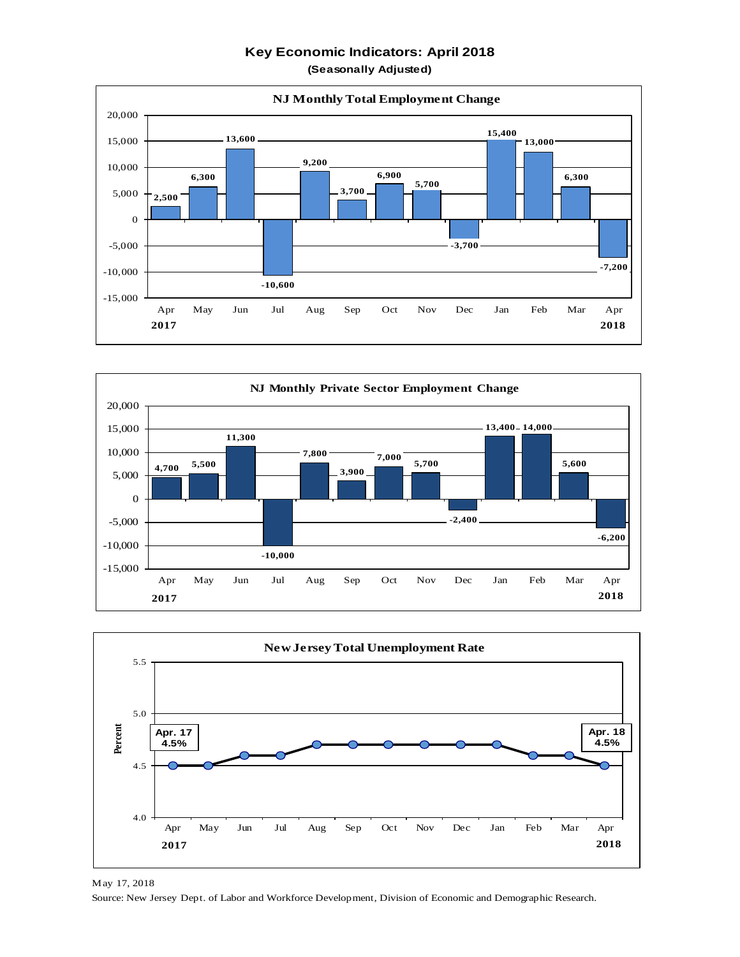**Key Economic Indicators: April 2018**

**(Seasonally Adjusted)**







May 17, 2018 Source: New Jersey Dept. of Labor and Workforce Development, Division of Economic and Demographic Research.